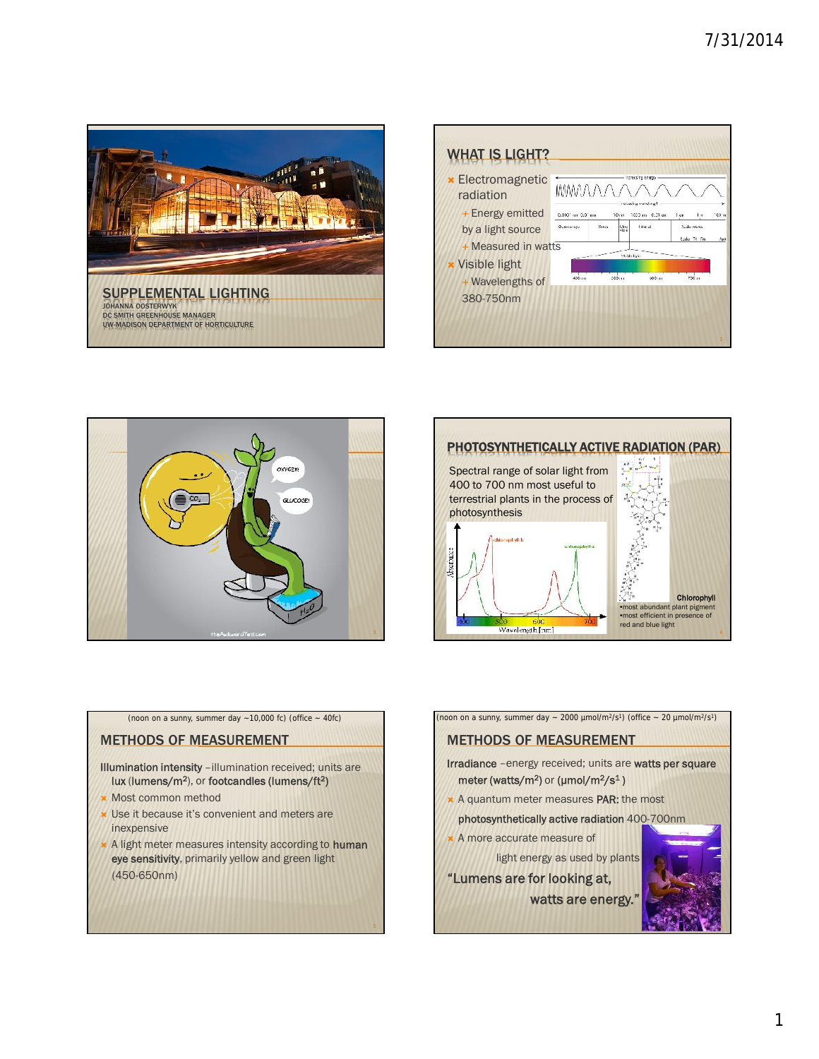







(noon on a sunny, summer day  $\sim$  10,000 fc) (office  $\sim$  40fc)

### METHODS OF MEASUREMENT

**Illumination intensity** –illumination received; units are **lux** (**lumens/m<sup>2</sup>** ), or **footcandles (lumens/ft<sup>2</sup> )**

- **\* Most common method**
- Use it because it's convenient and meters are inexpensive
- A light meter measures intensity according to **human eye sensitivity**, primarily yellow and green light (450-650nm)

5

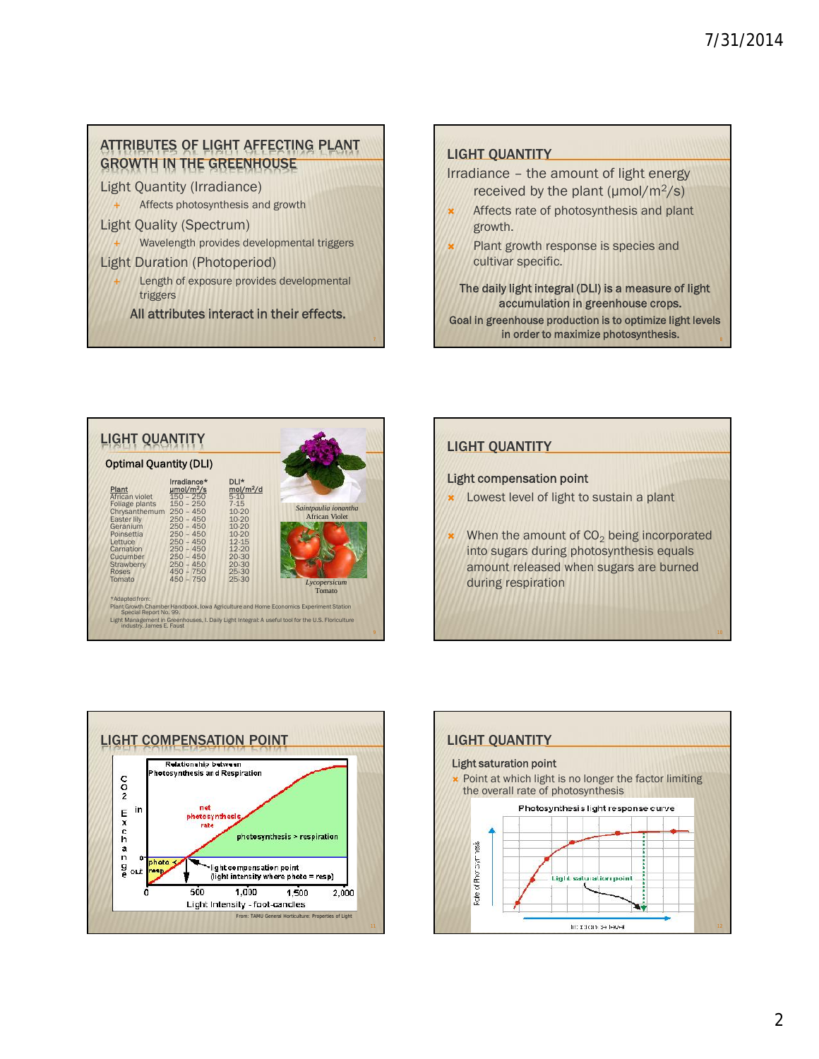# ATTRIBUTES OF LIGHT AFFECTING PLANT GROWTH IN THE GREENHOUSE

Light Quantity (Irradiance)

- Affects photosynthesis and growth
- Light Quality (Spectrum)
	- Wavelength provides developmental triggers

#### Light Duration (Photoperiod)

 Length of exposure provides developmental triggers

**All attributes interact in their effects.**

## LIGHT QUANTITY

- Irradiance the amount of light energy received by the plant ( $\mu$ mol/m<sup>2</sup>/s)
	- Affects rate of photosynthesis and plant growth.
	- Plant growth response is species and cultivar specific.

**The daily light integral (DLI) is a measure of light accumulation in greenhouse crops.**

**Goal in greenhouse production is to optimize light levels in order to maximize photosynthesis.** 8



# LIGHT QUANTITY

7

### **Light compensation point**

- **x** Lowest level of light to sustain a plant
- When the amount of  $CO<sub>2</sub>$  being incorporated into sugars during photosynthesis equals amount released when sugars are burned during respiration





10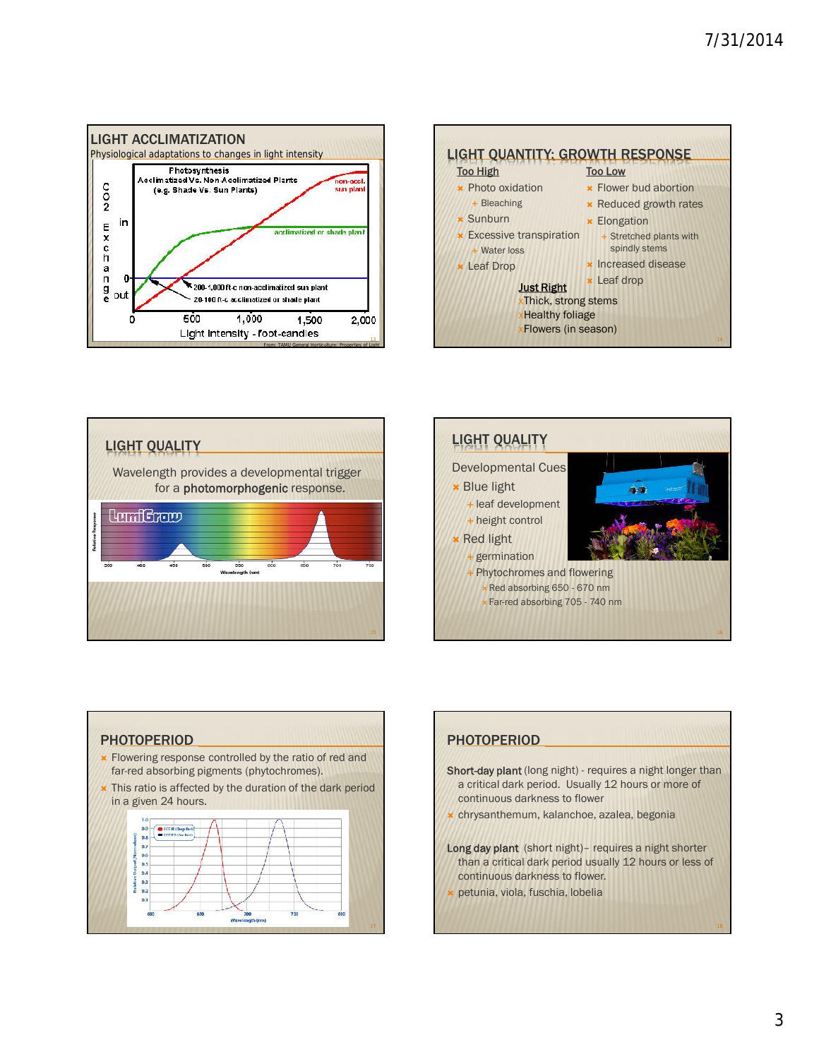









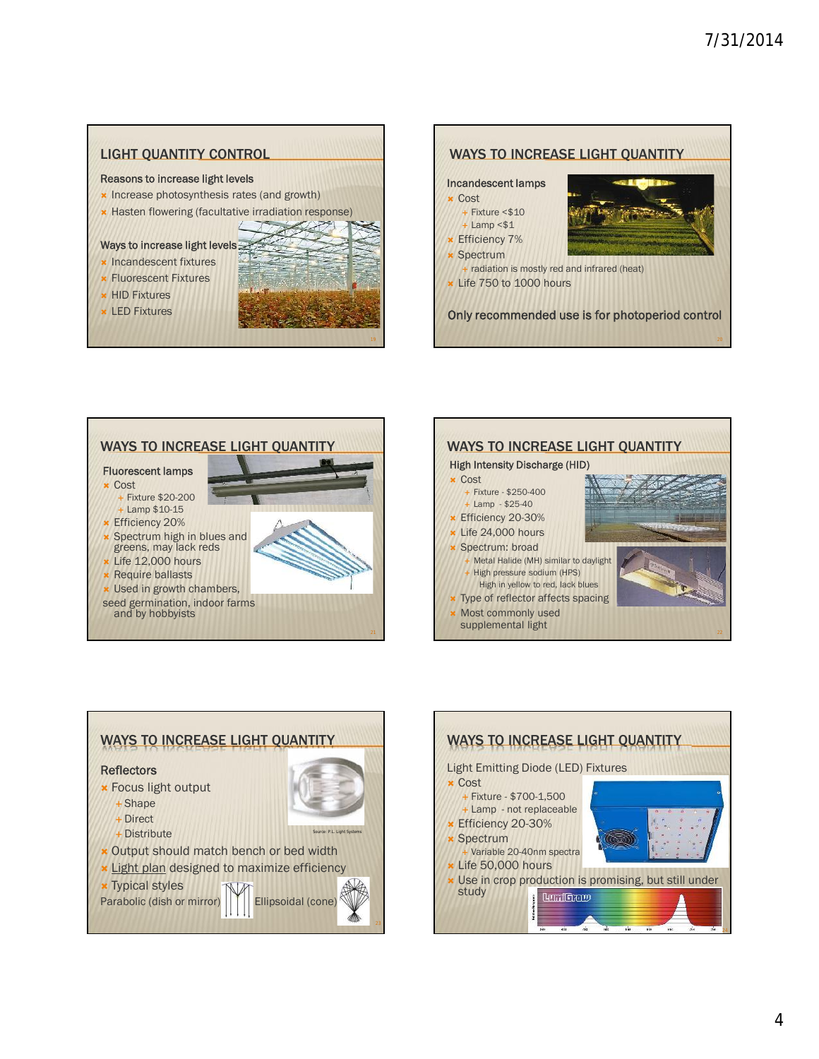20

#### LIGHT QUANTITY CONTROL **Reasons to increase light levels x** Increase photosynthesis rates (and growth) **\*** Hasten flowering (facultative irradiation response) **Ways to increase light levels x** Incandescent fixtures Fluorescent Fixtures **\* HID Fixtures**  LED Fixtures WAYS TO INCREASE LIGHT QUANTITY **Incandescent lamps** Cost  $-$  Fixture  $<$  \$10 Lamp <\$1 **Efficiency 7%**  Spectrum radiation is mostly red and infrared (heat)  $\star$  Life 750 to 1000 hours **Only recommended use is for photoperiod control**

19







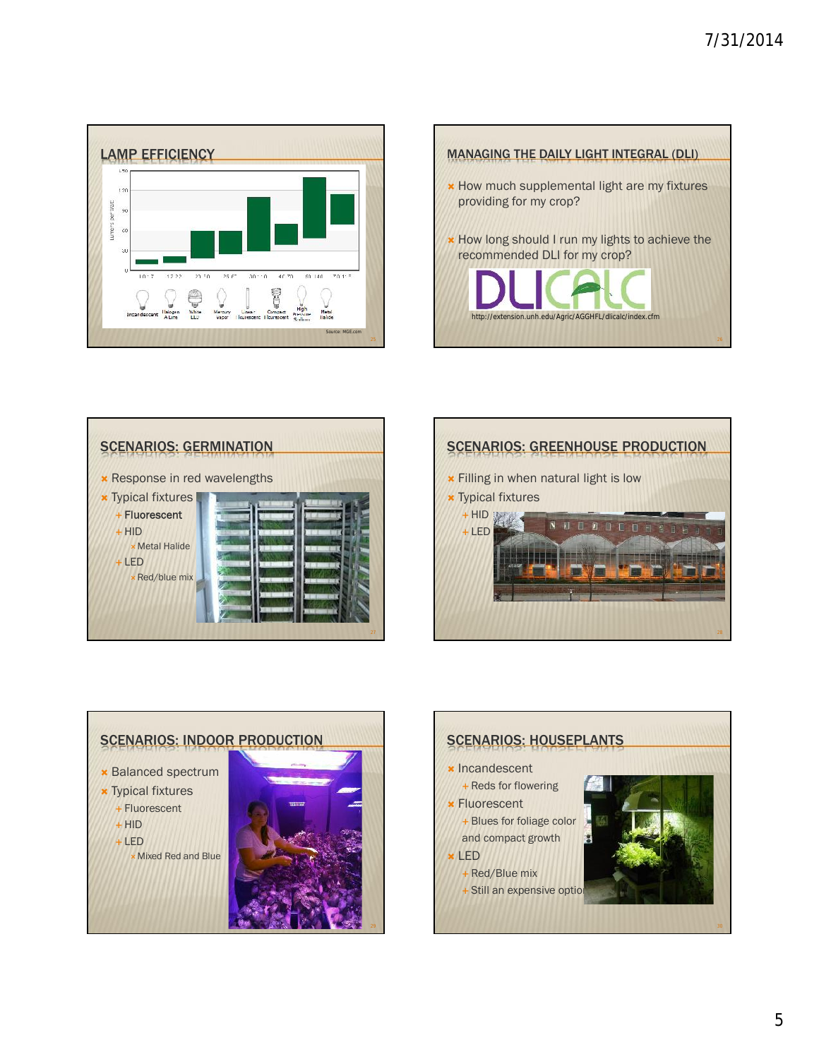